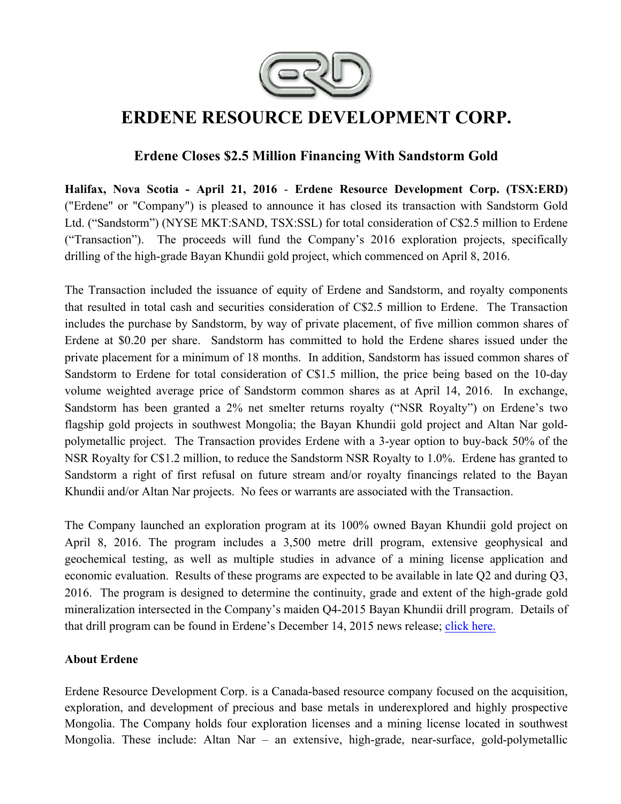

# **ERDENE RESOURCE DEVELOPMENT CORP.**

# **Erdene Closes \$2.5 Million Financing With Sandstorm Gold**

**Halifax, Nova Scotia - April 21, 2016** - **Erdene Resource Development Corp. (TSX:ERD)**  ("Erdene" or "Company") is pleased to announce it has closed its transaction with Sandstorm Gold Ltd. ("Sandstorm") (NYSE MKT:SAND, TSX:SSL) for total consideration of C\$2.5 million to Erdene ("Transaction"). The proceeds will fund the Company's 2016 exploration projects, specifically drilling of the high-grade Bayan Khundii gold project, which commenced on April 8, 2016.

The Transaction included the issuance of equity of Erdene and Sandstorm, and royalty components that resulted in total cash and securities consideration of C\$2.5 million to Erdene. The Transaction includes the purchase by Sandstorm, by way of private placement, of five million common shares of Erdene at \$0.20 per share. Sandstorm has committed to hold the Erdene shares issued under the private placement for a minimum of 18 months. In addition, Sandstorm has issued common shares of Sandstorm to Erdene for total consideration of C\$1.5 million, the price being based on the 10-day volume weighted average price of Sandstorm common shares as at April 14, 2016. In exchange, Sandstorm has been granted a 2% net smelter returns royalty ("NSR Royalty") on Erdene's two flagship gold projects in southwest Mongolia; the Bayan Khundii gold project and Altan Nar goldpolymetallic project. The Transaction provides Erdene with a 3-year option to buy-back 50% of the NSR Royalty for C\$1.2 million, to reduce the Sandstorm NSR Royalty to 1.0%. Erdene has granted to Sandstorm a right of first refusal on future stream and/or royalty financings related to the Bayan Khundii and/or Altan Nar projects. No fees or warrants are associated with the Transaction.

The Company launched an exploration program at its 100% owned Bayan Khundii gold project on April 8, 2016. The program includes a 3,500 metre drill program, extensive geophysical and geochemical testing, as well as multiple studies in advance of a mining license application and economic evaluation. Results of these programs are expected to be available in late Q2 and during Q3, 2016. The program is designed to determine the continuity, grade and extent of the high-grade gold mineralization intersected in the Company's maiden Q4-2015 Bayan Khundii drill program. Details of that drill program can be found in Erdene's December 14, 2015 news release; click here.

## **About Erdene**

Erdene Resource Development Corp. is a Canada-based resource company focused on the acquisition, exploration, and development of precious and base metals in underexplored and highly prospective Mongolia. The Company holds four exploration licenses and a mining license located in southwest Mongolia. These include: Altan Nar – an extensive, high-grade, near-surface, gold-polymetallic